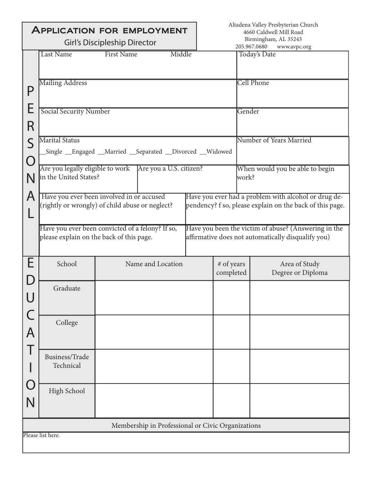| <b>APPLICATION FOR EMPLOYMENT</b>   |                                                                                              |                                                   |                   |  | Altadena Valley Presbyterian Church<br>4660 Caldwell Mill Road                                                   |                                          |                                                                                                            |
|-------------------------------------|----------------------------------------------------------------------------------------------|---------------------------------------------------|-------------------|--|------------------------------------------------------------------------------------------------------------------|------------------------------------------|------------------------------------------------------------------------------------------------------------|
| <b>Girl's Discipleship Director</b> |                                                                                              |                                                   |                   |  | Birmingham, AL 35243<br>205.967.0680<br>www.avpc.org                                                             |                                          |                                                                                                            |
|                                     | Last Name<br><b>First Name</b><br>Middle<br><b>Mailing Address</b>                           |                                                   |                   |  |                                                                                                                  |                                          | Today's Date<br><b>Cell Phone</b>                                                                          |
| P<br>E                              | <b>Social Security Number</b>                                                                |                                                   |                   |  | Gender                                                                                                           |                                          |                                                                                                            |
| R                                   |                                                                                              |                                                   |                   |  |                                                                                                                  |                                          |                                                                                                            |
| S<br>$\bigcap$                      | <b>Marital Status</b><br>Single _Engaged _Married _Separated _Divorced _Widowed              |                                                   |                   |  |                                                                                                                  |                                          | Number of Years Married                                                                                    |
| N                                   | Are you legally eligible to work Are you a U.S. citizen?<br>in the United States?            |                                                   |                   |  |                                                                                                                  | When would you be able to begin<br>work? |                                                                                                            |
| A                                   | Have you ever been involved in or accused<br>(rightly or wrongly) of child abuse or neglect? |                                                   |                   |  | Have you ever had a problem with alcohol or drug de-<br>pendency? f so, please explain on the back of this page. |                                          |                                                                                                            |
|                                     | Have you ever been convicted of a felony? If so,<br>please explain on the back of this page. |                                                   |                   |  |                                                                                                                  |                                          | Have you been the victim of abuse? (Answering in the<br>affirmative does not automatically disqualify you) |
| E                                   | School                                                                                       |                                                   | Name and Location |  | # of years<br>completed                                                                                          |                                          | Area of Study<br>Degree or Diploma                                                                         |
| $\mathsf C$                         | Graduate                                                                                     |                                                   |                   |  |                                                                                                                  |                                          |                                                                                                            |
| $\overline{A}$                      | College                                                                                      |                                                   |                   |  |                                                                                                                  |                                          |                                                                                                            |
|                                     | Business/Trade<br>Technical                                                                  |                                                   |                   |  |                                                                                                                  |                                          |                                                                                                            |
| Ő<br>N                              | High School                                                                                  |                                                   |                   |  |                                                                                                                  |                                          |                                                                                                            |
|                                     |                                                                                              | Membership in Professional or Civic Organizations |                   |  |                                                                                                                  |                                          |                                                                                                            |
| Please list here.                   |                                                                                              |                                                   |                   |  |                                                                                                                  |                                          |                                                                                                            |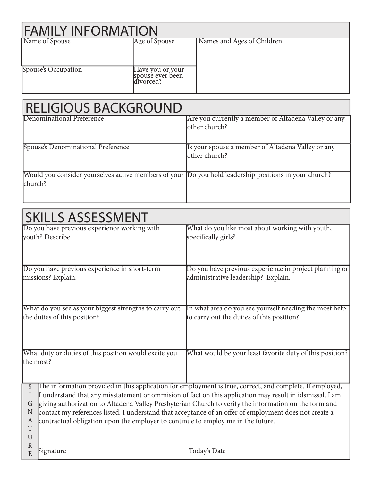| <b>FAMILY INFORMATION</b> |                                                   |                            |  |  |  |
|---------------------------|---------------------------------------------------|----------------------------|--|--|--|
| Name of Spouse            | Age of Spouse                                     | Names and Ages of Children |  |  |  |
| Spouse's Occupation       | Have you or your<br>spouse ever been<br>divorced? |                            |  |  |  |

| <b>RELIGIOUS BACKGROUND</b>                                                                                      |                                                                        |
|------------------------------------------------------------------------------------------------------------------|------------------------------------------------------------------------|
| Denominational Preference                                                                                        | Are you currently a member of Altadena Valley or any<br>lother church? |
| Spouse's Denominational Preference                                                                               | Is your spouse a member of Altadena Valley or any<br>lother church?    |
| Would you consider yourselves active members of your Do you hold leadership positions in your church?<br>church? |                                                                        |

| <b>SKILLS ASSESSMENT</b> |                                                                                                                                                                                                                      |                                                          |  |  |  |
|--------------------------|----------------------------------------------------------------------------------------------------------------------------------------------------------------------------------------------------------------------|----------------------------------------------------------|--|--|--|
|                          | Do you have previous experience working with                                                                                                                                                                         | What do you like most about working with youth,          |  |  |  |
|                          | youth? Describe.                                                                                                                                                                                                     | specifically girls?                                      |  |  |  |
|                          |                                                                                                                                                                                                                      |                                                          |  |  |  |
|                          |                                                                                                                                                                                                                      |                                                          |  |  |  |
|                          | Do you have previous experience in short-term                                                                                                                                                                        | Do you have previous experience in project planning or   |  |  |  |
|                          | missions? Explain.                                                                                                                                                                                                   | administrative leadership? Explain.                      |  |  |  |
|                          |                                                                                                                                                                                                                      |                                                          |  |  |  |
|                          |                                                                                                                                                                                                                      |                                                          |  |  |  |
|                          | What do you see as your biggest strengths to carry out                                                                                                                                                               | In what area do you see yourself needing the most help   |  |  |  |
|                          | the duties of this position?                                                                                                                                                                                         | to carry out the duties of this position?                |  |  |  |
|                          |                                                                                                                                                                                                                      |                                                          |  |  |  |
|                          |                                                                                                                                                                                                                      |                                                          |  |  |  |
|                          |                                                                                                                                                                                                                      |                                                          |  |  |  |
|                          | What duty or duties of this position would excite you                                                                                                                                                                | What would be your least favorite duty of this position? |  |  |  |
| the most?                |                                                                                                                                                                                                                      |                                                          |  |  |  |
|                          |                                                                                                                                                                                                                      |                                                          |  |  |  |
| $\overline{S}$           |                                                                                                                                                                                                                      |                                                          |  |  |  |
| I                        | The information provided in this application for employment is true, correct, and complete. If employed,<br>I understand that any misstatement or ommision of fact on this application may result in idsmissal. I am |                                                          |  |  |  |
| G                        | giving authorization to Altadena Valley Presbyterian Church to verify the information on the form and                                                                                                                |                                                          |  |  |  |
| N                        | contact my references listed. I understand that acceptance of an offer of employment does not create a                                                                                                               |                                                          |  |  |  |
| A                        | contractual obligation upon the employer to continue to employ me in the future.                                                                                                                                     |                                                          |  |  |  |
| T                        |                                                                                                                                                                                                                      |                                                          |  |  |  |
| $\mathbf U$              |                                                                                                                                                                                                                      |                                                          |  |  |  |
| $\mathbb{R}$<br>E        | Signature                                                                                                                                                                                                            | Today's Date                                             |  |  |  |